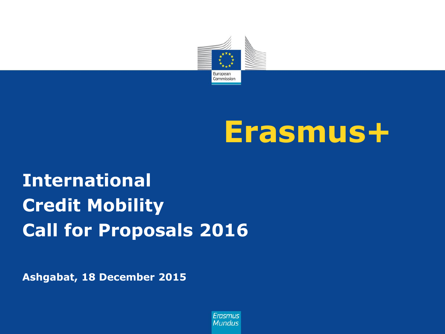

### **Erasmus+**

### **International Credit Mobility Call for Proposals 2016**

**Ashgabat, 18 December 2015**

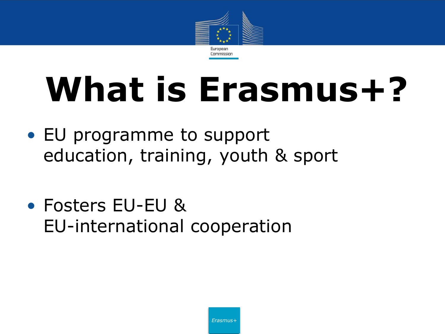

# **What is Erasmus+?**

- EU programme to support education, training, youth & sport
- Fosters EU-EU & EU-international cooperation

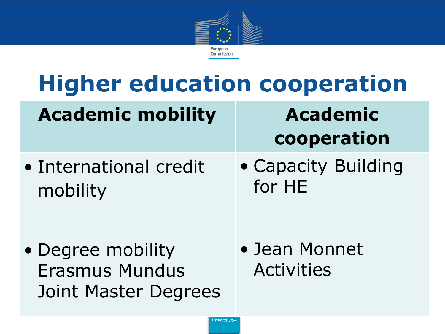

### **Higher education cooperation**

**Academic mobility | Academic** 

**cooperation**

- International credit mobility
- Capacity Building for HE

- Degree mobility Erasmus Mundus Joint Master Degrees
- Jean Monnet Activities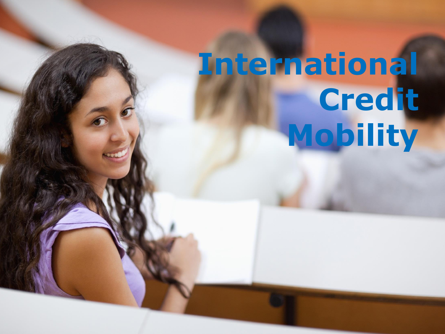## **International Credit Mobility**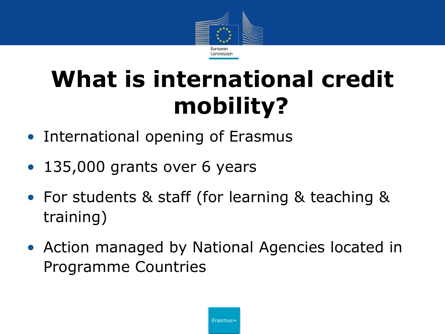

### **What is international credit mobility?**

- International opening of Erasmus
- 135,000 grants over 6 years
- For students & staff (for learning & teaching & training)
- Action managed by National Agencies located in Programme Countries

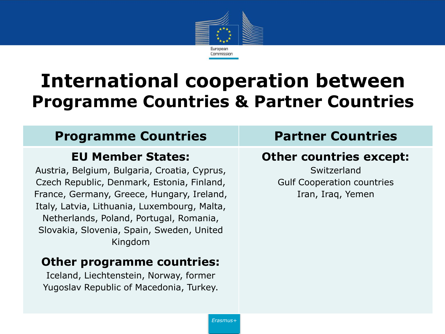

### **International cooperation between Programme Countries & Partner Countries**

#### **Programme Countries Partner Countries**

#### **EU Member States:**

Austria, Belgium, Bulgaria, Croatia, Cyprus, Czech Republic, Denmark, Estonia, Finland, France, Germany, Greece, Hungary, Ireland, Italy, Latvia, Lithuania, Luxembourg, Malta, Netherlands, Poland, Portugal, Romania, Slovakia, Slovenia, Spain, Sweden, United Kingdom

#### **Other programme countries:**

Iceland, Liechtenstein, Norway, former Yugoslav Republic of Macedonia, Turkey.

#### **Other countries except:**

Switzerland Gulf Cooperation countries Iran, Iraq, Yemen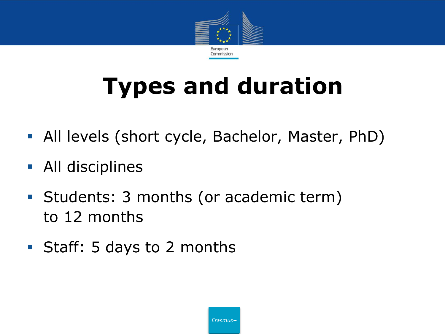

### **Types and duration**

- All levels (short cycle, Bachelor, Master, PhD)
- All disciplines
- Students: 3 months (or academic term) to 12 months
- Staff: 5 days to 2 months

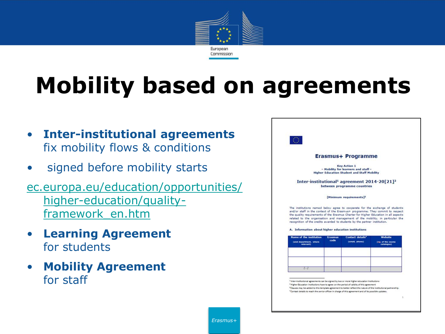

### **Mobility based on agreements**

- **Inter-institutional agreements**  fix mobility flows & conditions
- signed before mobility starts
- [ec.europa.eu/education/opportunities/](http://ec.europa.eu/education/opportunities/higher-education/quality-framework_en.htm) higher-education/qualityframework\_en.htm
- **Learning Agreement**  for students
- **Mobility Agreement**  for staff

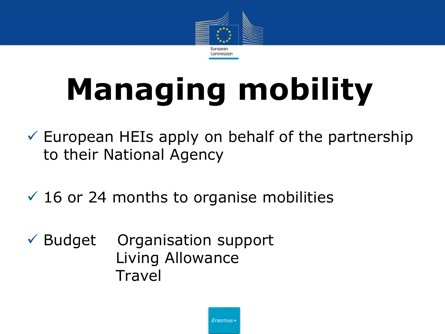

# **Managing mobility**

- $\checkmark$  European HEIs apply on behalf of the partnership to their National Agency
- $\checkmark$  16 or 24 months to organise mobilities
- $\checkmark$  Budget Organisation support Living Allowance **Travel**

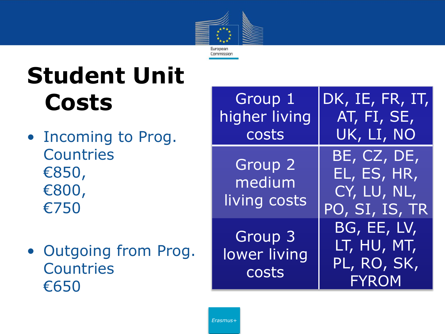

### **Student Unit Costs**

- Incoming to Prog. **Countries** €850, €800, €750
- Outgoing from Prog. **Countries** €650

| Group 1<br>higher living<br>costs | DK, IE, FR, IT,<br>AT, FI, SE,<br>UK, LI, NO                |
|-----------------------------------|-------------------------------------------------------------|
| Group 2<br>medium<br>living costs | BE, CZ, DE,<br>EL, ES, HR,<br>CY, LU, NL,<br>PO, SI, IS, TR |
| Group 3<br>lower living<br>costs  | BG, EE, LV,<br>LT, HU, MT,<br>PL, RO, SK,<br><b>FYROM</b>   |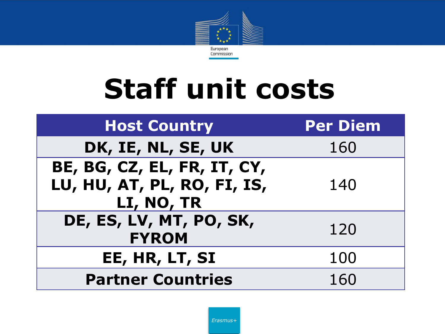

## **Staff unit costs**

| <b>Host Country</b>                                                      | <b>Per Diem</b> |
|--------------------------------------------------------------------------|-----------------|
| DK, IE, NL, SE, UK                                                       | 160             |
| BE, BG, CZ, EL, FR, IT, CY,<br>LU, HU, AT, PL, RO, FI, IS,<br>LI, NO, TR | 140             |
| DE, ES, LV, MT, PO, SK,<br><b>FYROM</b>                                  | 120             |
| EE, HR, LT, SI                                                           | 100             |
| <b>Partner Countries</b>                                                 | 160             |

*Erasmus+*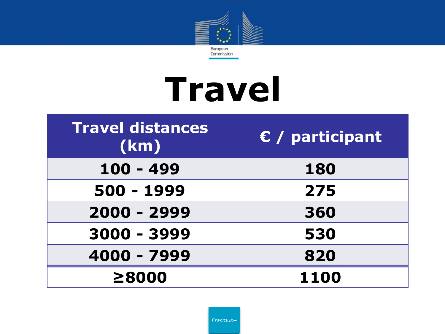

## **Travel**

| <b>Travel distances</b><br>(km) | $\epsilon$ / participant |
|---------------------------------|--------------------------|
| $100 - 499$                     | 180                      |
| 500 - 1999                      | 275                      |
| 2000 - 2999                     | 360                      |
| 3000 - 3999                     | 530                      |
| 4000 - 7999                     | 820                      |
| ≥8000                           | 1100                     |

*Erasmus+*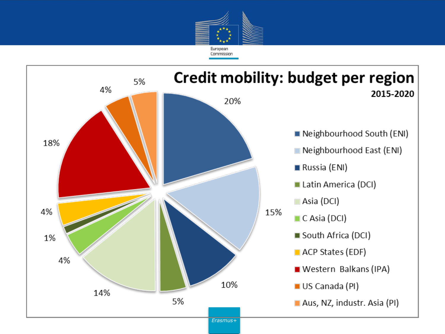

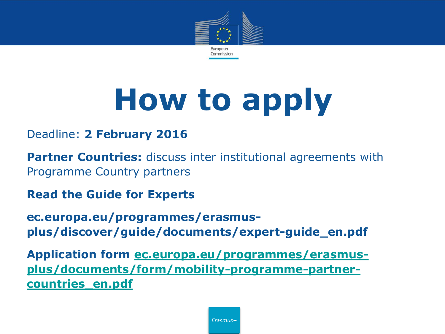

## **How to apply**

#### Deadline: **2 February 2016**

**Partner Countries:** discuss inter institutional agreements with Programme Country partners

**Read the Guide for Experts**

**ec.europa.eu/programmes/erasmusplus/discover/guide/documents/expert-guide\_en.pdf**

**Application form ec.europa.eu/programmes/erasmus[plus/documents/form/mobility-programme-partner](http://ec.europa.eu/programmes/erasmus-plus/documents/form/mobility-programme-partner-countries_en.pdf)countries\_en.pdf**

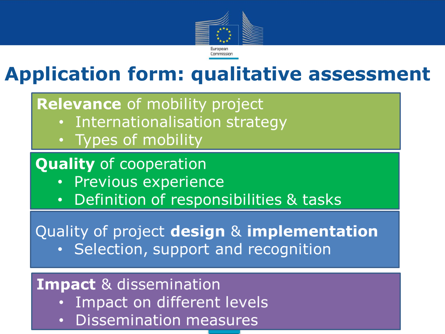

### **Application form: qualitative assessment**

### **Relevance** of mobility project

- Internationalisation strategy
- Types of mobility

### **Quality** of cooperation

- Previous experience
- Definition of responsibilities & tasks  $\bullet$

#### Quality of project design & implementation • Selection, support and recognition

### **Impact** & dissemination

- Impact on different levels
- **Dissemination measures**  $\bullet$